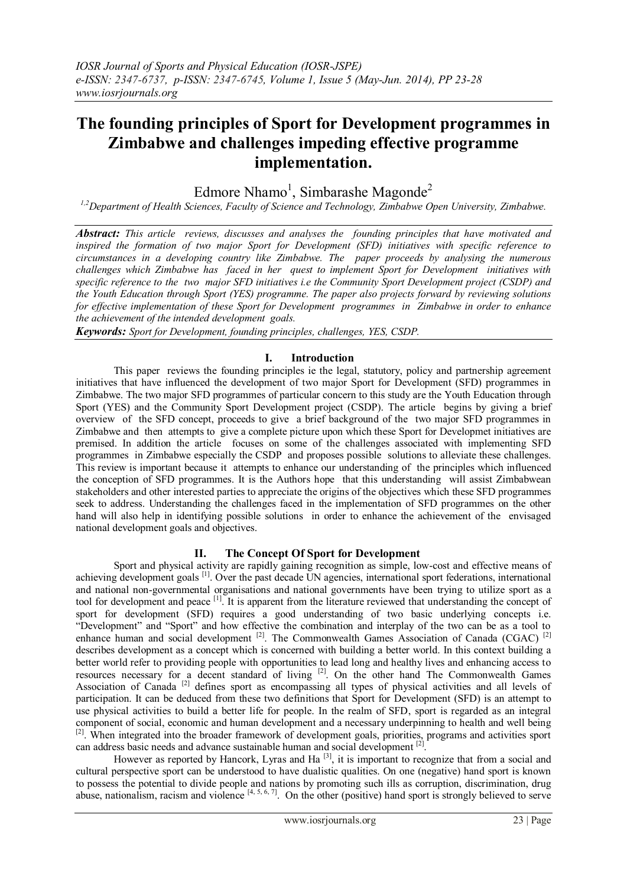# **The founding principles of Sport for Development programmes in Zimbabwe and challenges impeding effective programme implementation.**

Edmore Nhamo<sup>1</sup>, Simbarashe Magonde<sup>2</sup>

*1,2Department of Health Sciences, Faculty of Science and Technology, Zimbabwe Open University, Zimbabwe.*

*Abstract: This article reviews, discusses and analyses the founding principles that have motivated and inspired the formation of two major Sport for Development (SFD) initiatives with specific reference to circumstances in a developing country like Zimbabwe. The paper proceeds by analysing the numerous challenges which Zimbabwe has faced in her quest to implement Sport for Development initiatives with specific reference to the two major SFD initiatives i.e the Community Sport Development project (CSDP) and the Youth Education through Sport (YES) programme. The paper also projects forward by reviewing solutions for effective implementation of these Sport for Development programmes in Zimbabwe in order to enhance the achievement of the intended development goals.* 

*Keywords: Sport for Development, founding principles, challenges, YES, CSDP.*

# **I. Introduction**

This paper reviews the founding principles ie the legal, statutory, policy and partnership agreement initiatives that have influenced the development of two major Sport for Development (SFD) programmes in Zimbabwe. The two major SFD programmes of particular concern to this study are the Youth Education through Sport (YES) and the Community Sport Development project (CSDP). The article begins by giving a brief overview of the SFD concept, proceeds to give a brief background of the two major SFD programmes in Zimbabwe and then attempts to give a complete picture upon which these Sport for Developmet initiatives are premised. In addition the article focuses on some of the challenges associated with implementing SFD programmes in Zimbabwe especially the CSDP and proposes possible solutions to alleviate these challenges. This review is important because it attempts to enhance our understanding of the principles which influenced the conception of SFD programmes. It is the Authors hope that this understanding will assist Zimbabwean stakeholders and other interested parties to appreciate the origins of the objectives which these SFD programmes seek to address. Understanding the challenges faced in the implementation of SFD programmes on the other hand will also help in identifying possible solutions in order to enhance the achievement of the envisaged national development goals and objectives.

## **II. The Concept Of Sport for Development**

Sport and physical activity are rapidly gaining recognition as simple, low-cost and effective means of achieving development goals<sup>[1]</sup>. Over the past decade UN agencies, international sport federations, international and national non-governmental organisations and national governments have been trying to utilize sport as a tool for development and peace <sup>[1]</sup>. It is apparent from the literature reviewed that understanding the concept of sport for development (SFD) requires a good understanding of two basic underlying concepts i.e. "Development" and "Sport" and how effective the combination and interplay of the two can be as a tool to enhance human and social development<sup>[2]</sup>. The Commonwealth Games Association of Canada (CGAC)<sup>[2]</sup> describes development as a concept which is concerned with building a better world. In this context building a better world refer to providing people with opportunities to lead long and healthy lives and enhancing access to resources necessary for a decent standard of living <sup>[2]</sup>. On the other hand The Commonwealth Games Association of Canada<sup>[2]</sup> defines sport as encompassing all types of physical activities and all levels of participation. It can be deduced from these two definitions that Sport for Development (SFD) is an attempt to use physical activities to build a better life for people. In the realm of SFD, sport is regarded as an integral component of social, economic and human development and a necessary underpinning to health and well being <sup>[2]</sup>. When integrated into the broader framework of development goals, priorities, programs and activities sport can address basic needs and advance sustainable human and social development  $[2]$ .

However as reported by Hancork, Lyras and Ha<sup>[3]</sup>, it is important to recognize that from a social and cultural perspective sport can be understood to have dualistic qualities. On one (negative) hand sport is known to possess the potential to divide people and nations by promoting such ills as corruption, discrimination, drug abuse, nationalism, racism and violence  $[4, 5, 6, 7]$ . On the other (positive) hand sport is strongly believed to serve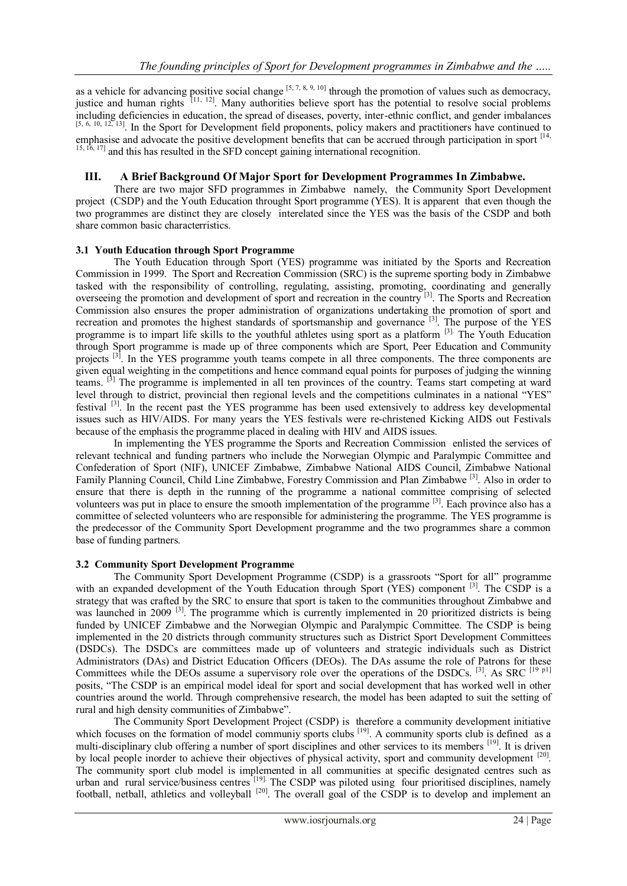as a vehicle for advancing positive social change  $[5, 7, 8, 9, 10]$  through the promotion of values such as democracy, justice and human rights  $[11, 12]$ . Many authorities believe sport has the potential to resolve social problems including deficiencies in education, the spread of diseases, poverty, inter-ethnic conflict, and gender imbalances  $[5, 6, 10, 12, 13]$ . In the Sport for Development field proponents, policy makers and practitioners have emphasise and advocate the positive development benefits that can be accrued through participation in sport [14,  $15, 16, 17$ ] and this has resulted in the SFD concept gaining international recognition.

## **III. A Brief Background Of Major Sport for Development Programmes In Zimbabwe.**

There are two major SFD programmes in Zimbabwe namely, the Community Sport Development project (CSDP) and the Youth Education throught Sport programme (YES). It is apparent that even though the two programmes are distinct they are closely interelated since the YES was the basis of the CSDP and both share common basic characterristics.

## **3.1 Youth Education through Sport Programme**

The Youth Education through Sport (YES) programme was initiated by the Sports and Recreation Commission in 1999. The Sport and Recreation Commission (SRC) is the supreme sporting body in Zimbabwe tasked with the responsibility of controlling, regulating, assisting, promoting, coordinating and generally overseeing the promotion and development of sport and recreation in the country<sup>[3]</sup>. The Sports and Recreation Commission also ensures the proper administration of organizations undertaking the promotion of sport and recreation and promotes the highest standards of sportsmanship and governance <sup>[3]</sup>. The purpose of the YES programme is to impart life skills to the youthful athletes using sport as a platform <sup>[3].</sup> The Youth Education through Sport programme is made up of three components which are Sport, Peer Education and Community projects <sup>[3]</sup>. In the YES programme youth teams compete in all three components. The three components are given equal weighting in the competitions and hence command equal points for purposes of judging the winning teams. <sup>[3]</sup> The programme is implemented in all ten provinces of the country. Teams start competing at ward level through to district, provincial then regional levels and the competitions culminates in a national "YES" festival <sup>[3]</sup>. In the recent past the YES programme has been used extensively to address key developmental issues such as HIV/AIDS. For many years the YES festivals were re-christened Kicking AIDS out Festivals because of the emphasis the programme placed in dealing with HIV and AIDS issues.

In implementing the YES programme the Sports and Recreation Commission enlisted the services of relevant technical and funding partners who include the Norwegian Olympic and Paralympic Committee and Confederation of Sport (NIF), UNICEF Zimbabwe, Zimbabwe National AIDS Council, Zimbabwe National Family Planning Council, Child Line Zimbabwe, Forestry Commission and Plan Zimbabwe<sup>[3]</sup>. Also in order to ensure that there is depth in the running of the programme a national committee comprising of selected volunteers was put in place to ensure the smooth implementation of the programme <sup>[3]</sup>. Each province also has a committee of selected volunteers who are responsible for administering the programme. The YES programme is the predecessor of the Community Sport Development programme and the two programmes share a common base of funding partners.

## **3.2 Community Sport Development Programme**

The Community Sport Development Programme (CSDP) is a grassroots "Sport for all" programme with an expanded development of the Youth Education through Sport (YES) component [3]. The CSDP is a strategy that was crafted by the SRC to ensure that sport is taken to the communities throughout Zimbabwe and was launched in 2009<sup>[3]</sup>. The programme which is currently implemented in 20 prioritized districts is being funded by UNICEF Zimbabwe and the Norwegian Olympic and Paralympic Committee. The CSDP is being implemented in the 20 districts through community structures such as District Sport Development Committees (DSDCs). The DSDCs are committees made up of volunteers and strategic individuals such as District Administrators (DAs) and District Education Officers (DEOs). The DAs assume the role of Patrons for these Committees while the DEOs assume a supervisory role over the operations of the DSDCs. [3]. As SRC [19 p1] posits, "The CSDP is an empirical model ideal for sport and social development that has worked well in other countries around the world. Through comprehensive research, the model has been adapted to suit the setting of rural and high density communities of Zimbabwe".

The Community Sport Development Project (CSDP) is therefore a community development initiative which focuses on the formation of model communiy sports clubs <sup>[19]</sup>. A community sports club is defined as a multi-disciplinary club offering a number of sport disciplines and other services to its members <sup>[19]</sup>. It is driven by local people inorder to achieve their objectives of physical activity, sport and community development <sup>[20]</sup>. The community sport club model is implemented in all communities at specific designated centres such as urban and rural service/business centres <sup>[19]</sup>. The CSDP was piloted using four prioritised disciplines, namely football, netball, athletics and volleyball<sup>[20]</sup>. The overall goal of the CSDP is to develop and implement an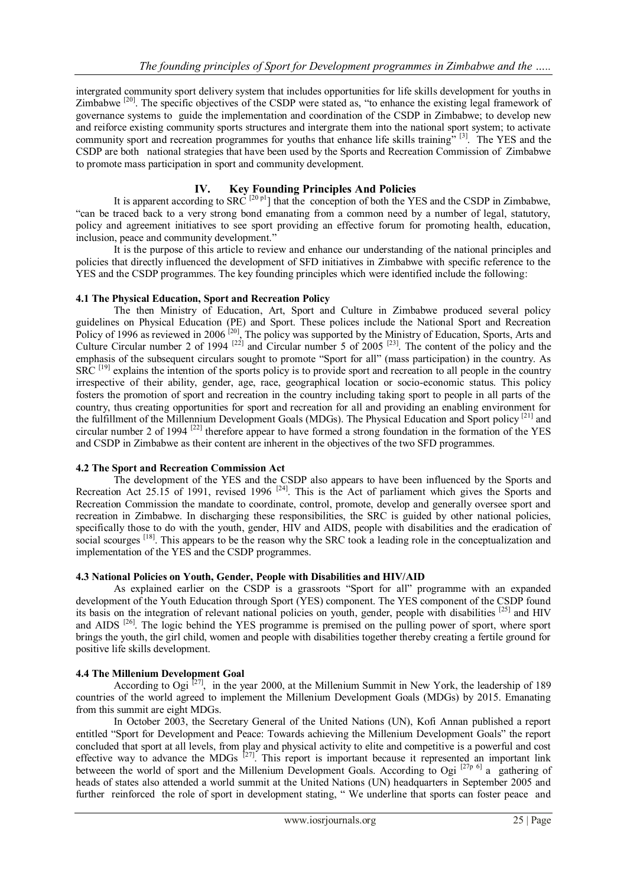intergrated community sport delivery system that includes opportunities for life skills development for youths in Zimbabwe <sup>[20]</sup>. The specific objectives of the CSDP were stated as, "to enhance the existing legal framework of governance systems to guide the implementation and coordination of the CSDP in Zimbabwe; to develop new and reiforce existing community sports structures and intergrate them into the national sport system; to activate community sport and recreation programmes for youths that enhance life skills training"<sup>[3]</sup>. The YES and the CSDP are both national strategies that have been used by the Sports and Recreation Commission of Zimbabwe to promote mass participation in sport and community development.

# **IV. Key Founding Principles And Policies**

It is apparent according to  $SRC^{[20 \text{ p}]}$  that the conception of both the YES and the CSDP in Zimbabwe, "can be traced back to a very strong bond emanating from a common need by a number of legal, statutory, policy and agreement initiatives to see sport providing an effective forum for promoting health, education, inclusion, peace and community development."

It is the purpose of this article to review and enhance our understanding of the national principles and policies that directly influenced the development of SFD initiatives in Zimbabwe with specific reference to the YES and the CSDP programmes. The key founding principles which were identified include the following:

## **4.1 The Physical Education, Sport and Recreation Policy**

The then Ministry of Education, Art, Sport and Culture in Zimbabwe produced several policy guidelines on Physical Education (PE) and Sport. These polices include the National Sport and Recreation Policy of 1996 as reviewed in 2006<sup>[20]</sup>, The policy was supported by the Ministry of Education, Sports, Arts and Culture Circular number 2 of 1994<sup>[22]</sup> and Circular number 5 of 2005<sup>[23]</sup>. The content of the policy and the emphasis of the subsequent circulars sought to promote "Sport for all" (mass participation) in the country. As SRC<sup>[19]</sup> explains the intention of the sports policy is to provide sport and recreation to all people in the country irrespective of their ability, gender, age, race, geographical location or socio-economic status. This policy fosters the promotion of sport and recreation in the country including taking sport to people in all parts of the country, thus creating opportunities for sport and recreation for all and providing an enabling environment for the fulfillment of the Millennium Development Goals (MDGs). The Physical Education and Sport policy<sup>[21]</sup> and circular number 2 of 1994<sup>[22]</sup> therefore appear to have formed a strong foundation in the formation of the YES and CSDP in Zimbabwe as their content are inherent in the objectives of the two SFD programmes.

#### **4.2 The Sport and Recreation Commission Act**

The development of the YES and the CSDP also appears to have been influenced by the Sports and Recreation Act 25.15 of 1991, revised 1996<sup>[24]</sup>. This is the Act of parliament which gives the Sports and Recreation Commission the mandate to coordinate, control, promote, develop and generally oversee sport and recreation in Zimbabwe. In discharging these responsibilities, the SRC is guided by other national policies, specifically those to do with the youth, gender, HIV and AIDS, people with disabilities and the eradication of social scourges <sup>[18]</sup>. This appears to be the reason why the SRC took a leading role in the conceptualization and implementation of the YES and the CSDP programmes.

## **4.3 National Policies on Youth, Gender, People with Disabilities and HIV/AID**

As explained earlier on the CSDP is a grassroots "Sport for all" programme with an expanded development of the Youth Education through Sport (YES) component. The YES component of the CSDP found its basis on the integration of relevant national policies on youth, gender, people with disabilities [25] and HIV and AIDS<sup>[26]</sup>. The logic behind the YES programme is premised on the pulling power of sport, where sport brings the youth, the girl child, women and people with disabilities together thereby creating a fertile ground for positive life skills development.

## **4.4 The Millenium Development Goal**

According to Ogi  $[27]$ , in the year 2000, at the Millenium Summit in New York, the leadership of 189 countries of the world agreed to implement the Millenium Development Goals (MDGs) by 2015. Emanating from this summit are eight MDGs.

In October 2003, the Secretary General of the United Nations (UN), Kofi Annan published a report entitled "Sport for Development and Peace: Towards achieving the Millenium Development Goals" the report concluded that sport at all levels, from play and physical activity to elite and competitive is a powerful and cost effective way to advance the MDGs  $[27]$ . This report is important because it represented an important link betweeen the world of sport and the Millenium Development Goals. According to Ogi  $[27p 6]$  a gathering of heads of states also attended a world summit at the United Nations (UN) headquarters in September 2005 and further reinforced the role of sport in development stating, " We underline that sports can foster peace and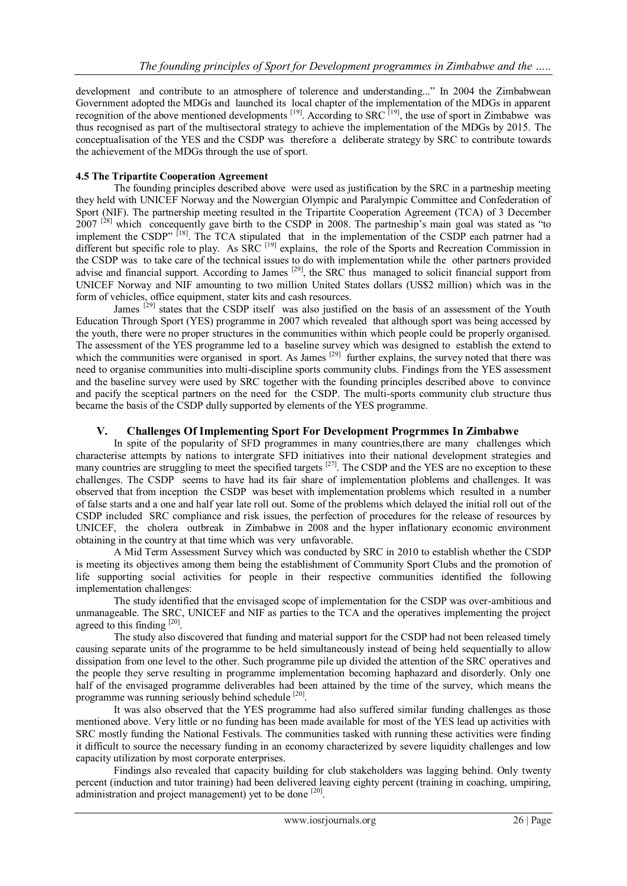development and contribute to an atmosphere of tolerence and understanding..." In 2004 the Zimbabwean Government adopted the MDGs and launched its local chapter of the implementation of the MDGs in apparent recognition of the above mentioned developments  $^{[19]}$ . According to SRC  $^{[19]}$ , the use of sport in Zimbabwe was thus recognised as part of the multisectoral strategy to achieve the implementation of the MDGs by 2015. The conceptualisation of the YES and the CSDP was therefore a deliberate strategy by SRC to contribute towards the achievement of the MDGs through the use of sport.

## **4.5 The Tripartite Cooperation Agreement**

The founding principles described above were used as justification by the SRC in a partneship meeting they held with UNICEF Norway and the Nowergian Olympic and Paralympic Committee and Confederation of Sport (NIF). The partnership meeting resulted in the Tripartite Cooperation Agreement (TCA) of 3 December 2007<sup>[28]</sup> which concequently gave birth to the CSDP in 2008. The partneship's main goal was stated as "to" implement the CSDP"<sup>[18]</sup>. The TCA stipulated that in the implementation of the CSDP each patrner had a different but specific role to play. As SRC<sup>[19]</sup> explains, the role of the Sports and Recreation Commission in the CSDP was to take care of the technical issues to do with implementation while the other partners provided advise and financial support. According to James <sup>[29]</sup>, the SRC thus managed to solicit financial support from UNICEF Norway and NIF amounting to two million United States dollars (US\$2 million) which was in the form of vehicles, office equipment, stater kits and cash resources.

James<sup>[29]</sup> states that the CSDP itself was also justified on the basis of an assessment of the Youth Education Through Sport (YES) programme in 2007 which revealed that although sport was being accessed by the youth, there were no proper structures in the communities within which people could be properly organised. The assessment of the YES programme led to a baseline survey which was designed to establish the extend to which the communities were organised in sport. As James  $[29]$  further explains, the survey noted that there was need to organise communities into multi-discipline sports community clubs. Findings from the YES assessment and the baseline survey were used by SRC together with the founding principles described above to convince and pacify the sceptical partners on the need for the CSDP. The multi-sports community club structure thus became the basis of the CSDP dully supported by elements of the YES programme.

# **V. Challenges Of Implementing Sport For Development Progrmmes In Zimbabwe**

In spite of the popularity of SFD programmes in many countries, there are many challenges which characterise attempts by nations to intergrate SFD initiatives into their national development strategies and many countries are struggling to meet the specified targets <sup>[27]</sup>. The CSDP and the YES are no exception to these challenges. The CSDP seems to have had its fair share of implementation ploblems and challenges. It was observed that from inception the CSDP was beset with implementation problems which resulted in a number of false starts and a one and half year late roll out. Some of the problems which delayed the initial roll out of the CSDP included SRC compliance and risk issues, the perfection of procedures for the release of resources by UNICEF, the cholera outbreak in Zimbabwe in 2008 and the hyper inflationary economic environment obtaining in the country at that time which was very unfavorable.

A Mid Term Assessment Survey which was conducted by SRC in 2010 to establish whether the CSDP is meeting its objectives among them being the establishment of Community Sport Clubs and the promotion of life supporting social activities for people in their respective communities identified the following implementation challenges:

The study identified that the envisaged scope of implementation for the CSDP was over-ambitious and unmanageable. The SRC, UNICEF and NIF as parties to the TCA and the operatives implementing the project agreed to this finding [20].

The study also discovered that funding and material support for the CSDP had not been released timely causing separate units of the programme to be held simultaneously instead of being held sequentially to allow dissipation from one level to the other. Such programme pile up divided the attention of the SRC operatives and the people they serve resulting in programme implementation becoming haphazard and disorderly. Only one half of the envisaged programme deliverables had been attained by the time of the survey, which means the programme was running seriously behind schedule [20].

It was also observed that the YES programme had also suffered similar funding challenges as those mentioned above. Very little or no funding has been made available for most of the YES lead up activities with SRC mostly funding the National Festivals. The communities tasked with running these activities were finding it difficult to source the necessary funding in an economy characterized by severe liquidity challenges and low capacity utilization by most corporate enterprises.

Findings also revealed that capacity building for club stakeholders was lagging behind. Only twenty percent (induction and tutor training) had been delivered leaving eighty percent (training in coaching, umpiring, administration and project management) yet to be done <sup>[20]</sup>.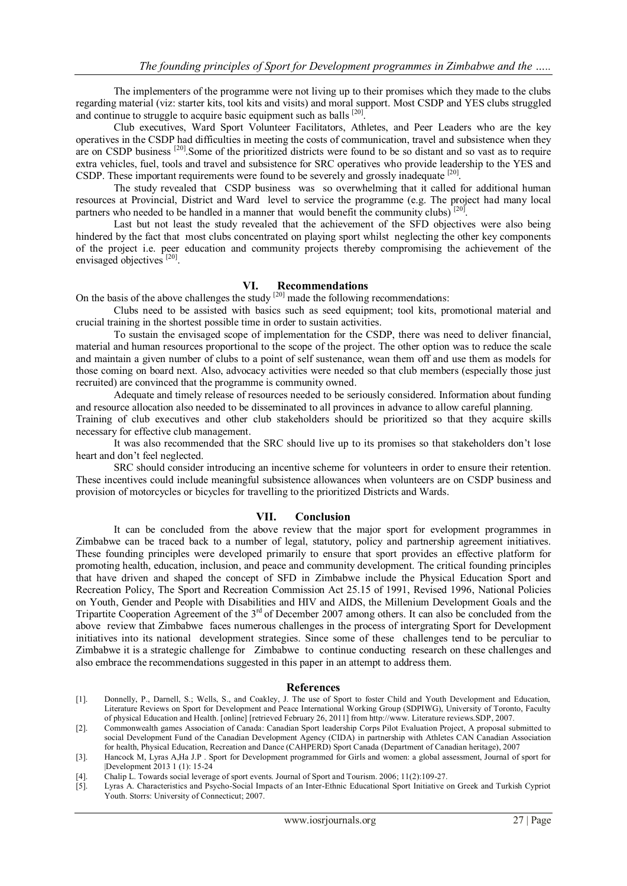The implementers of the programme were not living up to their promises which they made to the clubs regarding material (viz: starter kits, tool kits and visits) and moral support. Most CSDP and YES clubs struggled and continue to struggle to acquire basic equipment such as balls [20].

Club executives, Ward Sport Volunteer Facilitators, Athletes, and Peer Leaders who are the key operatives in the CSDP had difficulties in meeting the costs of communication, travel and subsistence when they are on CSDP business <sup>[20]</sup>. Some of the prioritized districts were found to be so distant and so vast as to require extra vehicles, fuel, tools and travel and subsistence for SRC operatives who provide leadership to the YES and CSDP. These important requirements were found to be severely and grossly inadequate <sup>[20]</sup>.

The study revealed that CSDP business was so overwhelming that it called for additional human resources at Provincial, District and Ward level to service the programme (e.g. The project had many local partners who needed to be handled in a manner that would benefit the community clubs)  $[20]$ .

Last but not least the study revealed that the achievement of the SFD objectives were also being hindered by the fact that most clubs concentrated on playing sport whilst neglecting the other key components of the project i.e. peer education and community projects thereby compromising the achievement of the envisaged objectives<sup>[20]</sup>.

## **VI. Recommendations**

On the basis of the above challenges the study  $[20]$  made the following recommendations:

Clubs need to be assisted with basics such as seed equipment; tool kits, promotional material and crucial training in the shortest possible time in order to sustain activities.

To sustain the envisaged scope of implementation for the CSDP, there was need to deliver financial, material and human resources proportional to the scope of the project. The other option was to reduce the scale and maintain a given number of clubs to a point of self sustenance, wean them off and use them as models for those coming on board next. Also, advocacy activities were needed so that club members (especially those just recruited) are convinced that the programme is community owned.

Adequate and timely release of resources needed to be seriously considered. Information about funding and resource allocation also needed to be disseminated to all provinces in advance to allow careful planning. Training of club executives and other club stakeholders should be prioritized so that they acquire skills necessary for effective club management.

It was also recommended that the SRC should live up to its promises so that stakeholders don't lose heart and don't feel neglected.

SRC should consider introducing an incentive scheme for volunteers in order to ensure their retention. These incentives could include meaningful subsistence allowances when volunteers are on CSDP business and provision of motorcycles or bicycles for travelling to the prioritized Districts and Wards.

## **VII. Conclusion**

It can be concluded from the above review that the major sport for evelopment programmes in Zimbabwe can be traced back to a number of legal, statutory, policy and partnership agreement initiatives. These founding principles were developed primarily to ensure that sport provides an effective platform for promoting health, education, inclusion, and peace and community development. The critical founding principles that have driven and shaped the concept of SFD in Zimbabwe include the Physical Education Sport and Recreation Policy, The Sport and Recreation Commission Act 25.15 of 1991, Revised 1996, National Policies on Youth, Gender and People with Disabilities and HIV and AIDS, the Millenium Development Goals and the Tripartite Cooperation Agreement of the 3<sup>rd</sup> of December 2007 among others. It can also be concluded from the above review that Zimbabwe faces numerous challenges in the process of intergrating Sport for Development initiatives into its national development strategies. Since some of these challenges tend to be perculiar to Zimbabwe it is a strategic challenge for Zimbabwe to continue conducting research on these challenges and also embrace the recommendations suggested in this paper in an attempt to address them.

#### **References**

- [1]. Donnelly, P., Darnell, S.; Wells, S., and Coakley, J. The use of Sport to foster Child and Youth Development and Education, Literature Reviews on Sport for Development and Peace International Working Group (SDPIWG), University of Toronto, Faculty of physical Education and Health. [online] [retrieved February 26, 2011] from http://www. Literature reviews.SDP, 2007.
- [2]. Commonwealth games Association of Canada: Canadian Sport leadership Corps Pilot Evaluation Project, A proposal submitted to social Development Fund of the Canadian Development Agency (CIDA) in partnership with Athletes CAN Canadian Association for health, Physical Education, Recreation and Dance (CAHPERD) Sport Canada (Department of Canadian heritage), 2007
- [3]. Hancock M, Lyras A,Ha J.P . Sport for Development programmed for Girls and women: a global assessment, Journal of sport for |Development 2013 1 (1): 15-24
- [4]. Chalip L. Towards social leverage of sport events. Journal of Sport and Tourism. 2006; 11(2):109-27.
- [5]. Lyras A. Characteristics and Psycho-Social Impacts of an Inter-Ethnic Educational Sport Initiative on Greek and Turkish Cypriot Youth. Storrs: University of Connecticut; 2007.